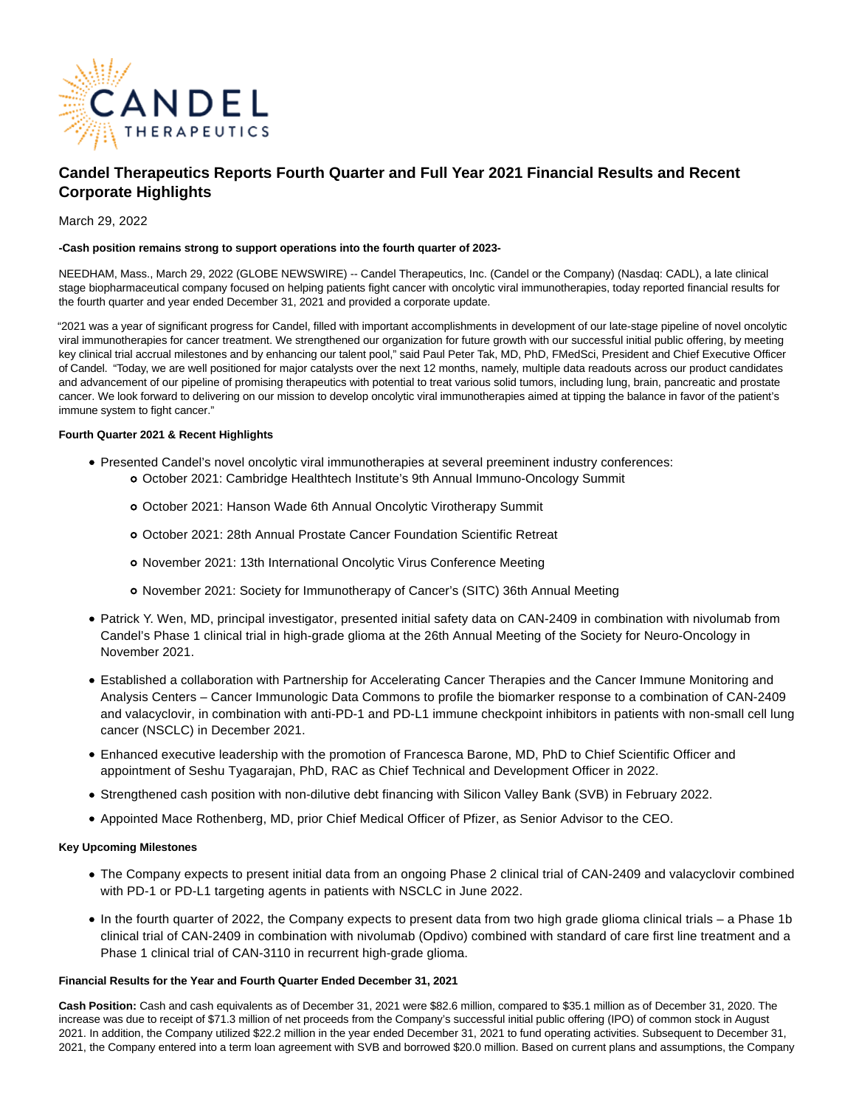

# **Candel Therapeutics Reports Fourth Quarter and Full Year 2021 Financial Results and Recent Corporate Highlights**

March 29, 2022

# **-Cash position remains strong to support operations into the fourth quarter of 2023-**

NEEDHAM, Mass., March 29, 2022 (GLOBE NEWSWIRE) -- Candel Therapeutics, Inc. (Candel or the Company) (Nasdaq: CADL), a late clinical stage biopharmaceutical company focused on helping patients fight cancer with oncolytic viral immunotherapies, today reported financial results for the fourth quarter and year ended December 31, 2021 and provided a corporate update.

"2021 was a year of significant progress for Candel, filled with important accomplishments in development of our late-stage pipeline of novel oncolytic viral immunotherapies for cancer treatment. We strengthened our organization for future growth with our successful initial public offering, by meeting key clinical trial accrual milestones and by enhancing our talent pool," said Paul Peter Tak, MD, PhD, FMedSci, President and Chief Executive Officer of Candel. "Today, we are well positioned for major catalysts over the next 12 months, namely, multiple data readouts across our product candidates and advancement of our pipeline of promising therapeutics with potential to treat various solid tumors, including lung, brain, pancreatic and prostate cancer. We look forward to delivering on our mission to develop oncolytic viral immunotherapies aimed at tipping the balance in favor of the patient's immune system to fight cancer."

# **Fourth Quarter 2021 & Recent Highlights**

- Presented Candel's novel oncolytic viral immunotherapies at several preeminent industry conferences:
	- October 2021: Cambridge Healthtech Institute's 9th Annual Immuno-Oncology Summit
	- October 2021: Hanson Wade 6th Annual Oncolytic Virotherapy Summit
	- October 2021: 28th Annual Prostate Cancer Foundation Scientific Retreat
	- o November 2021: 13th International Oncolytic Virus Conference Meeting
	- November 2021: Society for Immunotherapy of Cancer's (SITC) 36th Annual Meeting
- Patrick Y. Wen, MD, principal investigator, presented initial safety data on CAN-2409 in combination with nivolumab from Candel's Phase 1 clinical trial in high-grade glioma at the 26th Annual Meeting of the Society for Neuro-Oncology in November 2021.
- Established a collaboration with Partnership for Accelerating Cancer Therapies and the Cancer Immune Monitoring and Analysis Centers – Cancer Immunologic Data Commons to profile the biomarker response to a combination of CAN-2409 and valacyclovir, in combination with anti-PD-1 and PD-L1 immune checkpoint inhibitors in patients with non-small cell lung cancer (NSCLC) in December 2021.
- Enhanced executive leadership with the promotion of Francesca Barone, MD, PhD to Chief Scientific Officer and appointment of Seshu Tyagarajan, PhD, RAC as Chief Technical and Development Officer in 2022.
- Strengthened cash position with non-dilutive debt financing with Silicon Valley Bank (SVB) in February 2022.
- Appointed Mace Rothenberg, MD, prior Chief Medical Officer of Pfizer, as Senior Advisor to the CEO.

# **Key Upcoming Milestones**

- The Company expects to present initial data from an ongoing Phase 2 clinical trial of CAN-2409 and valacyclovir combined with PD-1 or PD-L1 targeting agents in patients with NSCLC in June 2022.
- In the fourth quarter of 2022, the Company expects to present data from two high grade glioma clinical trials a Phase 1b clinical trial of CAN-2409 in combination with nivolumab (Opdivo) combined with standard of care first line treatment and a Phase 1 clinical trial of CAN-3110 in recurrent high-grade glioma.

# **Financial Results for the Year and Fourth Quarter Ended December 31, 2021**

**Cash Position:** Cash and cash equivalents as of December 31, 2021 were \$82.6 million, compared to \$35.1 million as of December 31, 2020. The increase was due to receipt of \$71.3 million of net proceeds from the Company's successful initial public offering (IPO) of common stock in August 2021. In addition, the Company utilized \$22.2 million in the year ended December 31, 2021 to fund operating activities. Subsequent to December 31, 2021, the Company entered into a term loan agreement with SVB and borrowed \$20.0 million. Based on current plans and assumptions, the Company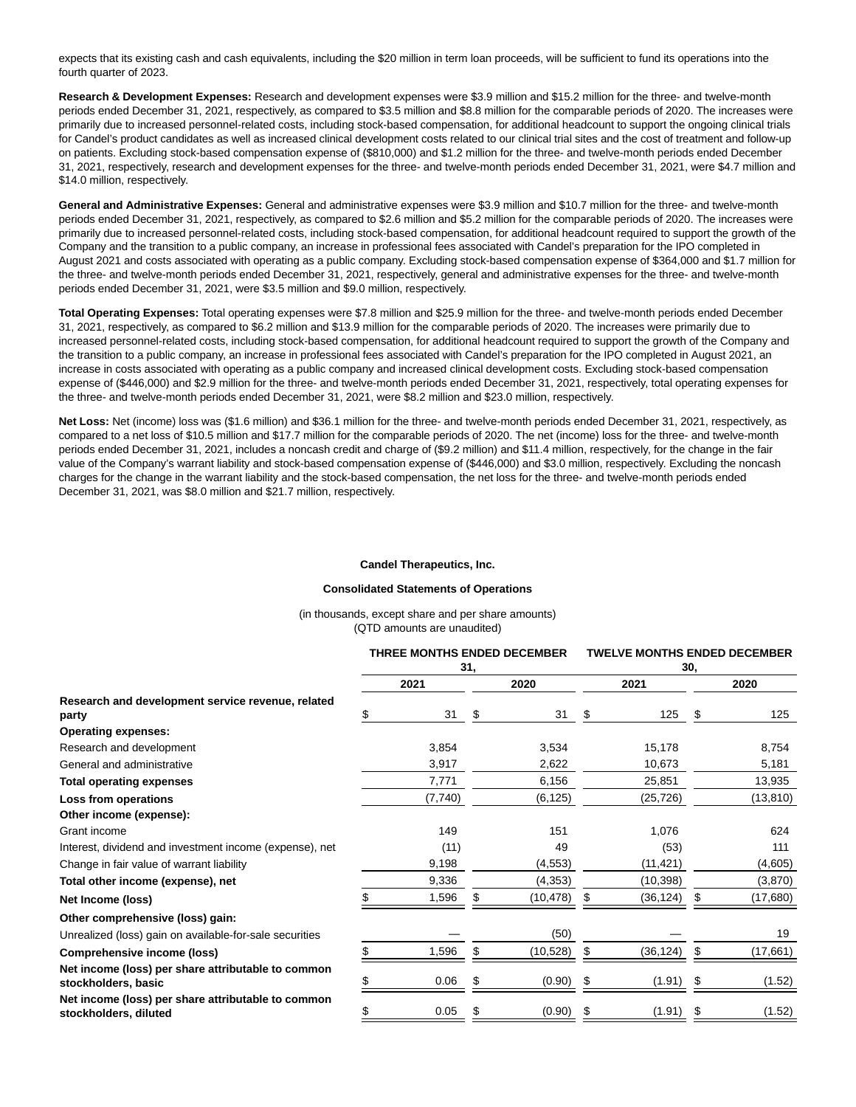expects that its existing cash and cash equivalents, including the \$20 million in term loan proceeds, will be sufficient to fund its operations into the fourth quarter of 2023.

**Research & Development Expenses:** Research and development expenses were \$3.9 million and \$15.2 million for the three- and twelve-month periods ended December 31, 2021, respectively, as compared to \$3.5 million and \$8.8 million for the comparable periods of 2020. The increases were primarily due to increased personnel-related costs, including stock-based compensation, for additional headcount to support the ongoing clinical trials for Candel's product candidates as well as increased clinical development costs related to our clinical trial sites and the cost of treatment and follow-up on patients. Excluding stock-based compensation expense of (\$810,000) and \$1.2 million for the three- and twelve-month periods ended December 31, 2021, respectively, research and development expenses for the three- and twelve-month periods ended December 31, 2021, were \$4.7 million and \$14.0 million, respectively.

**General and Administrative Expenses:** General and administrative expenses were \$3.9 million and \$10.7 million for the three- and twelve-month periods ended December 31, 2021, respectively, as compared to \$2.6 million and \$5.2 million for the comparable periods of 2020. The increases were primarily due to increased personnel-related costs, including stock-based compensation, for additional headcount required to support the growth of the Company and the transition to a public company, an increase in professional fees associated with Candel's preparation for the IPO completed in August 2021 and costs associated with operating as a public company. Excluding stock-based compensation expense of \$364,000 and \$1.7 million for the three- and twelve-month periods ended December 31, 2021, respectively, general and administrative expenses for the three- and twelve-month periods ended December 31, 2021, were \$3.5 million and \$9.0 million, respectively.

**Total Operating Expenses:** Total operating expenses were \$7.8 million and \$25.9 million for the three- and twelve-month periods ended December 31, 2021, respectively, as compared to \$6.2 million and \$13.9 million for the comparable periods of 2020. The increases were primarily due to increased personnel-related costs, including stock-based compensation, for additional headcount required to support the growth of the Company and the transition to a public company, an increase in professional fees associated with Candel's preparation for the IPO completed in August 2021, an increase in costs associated with operating as a public company and increased clinical development costs. Excluding stock-based compensation expense of (\$446,000) and \$2.9 million for the three- and twelve-month periods ended December 31, 2021, respectively, total operating expenses for the three- and twelve-month periods ended December 31, 2021, were \$8.2 million and \$23.0 million, respectively.

**Net Loss:** Net (income) loss was (\$1.6 million) and \$36.1 million for the three- and twelve-month periods ended December 31, 2021, respectively, as compared to a net loss of \$10.5 million and \$17.7 million for the comparable periods of 2020. The net (income) loss for the three- and twelve-month periods ended December 31, 2021, includes a noncash credit and charge of (\$9.2 million) and \$11.4 million, respectively, for the change in the fair value of the Company's warrant liability and stock-based compensation expense of (\$446,000) and \$3.0 million, respectively. Excluding the noncash charges for the change in the warrant liability and the stock-based compensation, the net loss for the three- and twelve-month periods ended December 31, 2021, was \$8.0 million and \$21.7 million, respectively.

#### **Candel Therapeutics, Inc.**

#### **Consolidated Statements of Operations**

## (in thousands, except share and per share amounts) (QTD amounts are unaudited)

|                                                                             | THREE MONTHS ENDED DECEMBER | 31, |           |    |           | <b>TWELVE MONTHS ENDED DECEMBER</b><br>30, |           |
|-----------------------------------------------------------------------------|-----------------------------|-----|-----------|----|-----------|--------------------------------------------|-----------|
|                                                                             | 2021                        |     | 2020      |    | 2021      |                                            | 2020      |
| Research and development service revenue, related                           |                             |     |           |    |           |                                            |           |
| party                                                                       | 31                          | \$  | 31        | \$ | 125       | \$.                                        | 125       |
| <b>Operating expenses:</b>                                                  |                             |     |           |    |           |                                            |           |
| Research and development                                                    | 3,854                       |     | 3,534     |    | 15,178    |                                            | 8,754     |
| General and administrative                                                  | 3,917                       |     | 2,622     |    | 10,673    |                                            | 5,181     |
| <b>Total operating expenses</b>                                             | 7,771                       |     | 6,156     |    | 25,851    |                                            | 13,935    |
| Loss from operations                                                        | (7, 740)                    |     | (6, 125)  |    | (25, 726) |                                            | (13, 810) |
| Other income (expense):                                                     |                             |     |           |    |           |                                            |           |
| Grant income                                                                | 149                         |     | 151       |    | 1,076     |                                            | 624       |
| Interest, dividend and investment income (expense), net                     | (11)                        |     | 49        |    | (53)      |                                            | 111       |
| Change in fair value of warrant liability                                   | 9,198                       |     | (4, 553)  |    | (11, 421) |                                            | (4,605)   |
| Total other income (expense), net                                           | 9,336                       |     | (4,353)   |    | (10, 398) |                                            | (3,870)   |
| Net Income (loss)                                                           | 1,596                       |     | (10, 478) | \$ | (36, 124) |                                            | (17,680)  |
| Other comprehensive (loss) gain:                                            |                             |     |           |    |           |                                            |           |
| Unrealized (loss) gain on available-for-sale securities                     |                             |     | (50)      |    |           |                                            | 19        |
| Comprehensive income (loss)                                                 | 1,596                       |     | (10,528)  | S  | (36, 124) |                                            | (17,661)  |
| Net income (loss) per share attributable to common<br>stockholders, basic   | 0.06                        |     | (0.90)    |    | (1.91)    |                                            | (1.52)    |
| Net income (loss) per share attributable to common<br>stockholders, diluted | 0.05                        |     | (0.90)    | \$ | (1.91)    |                                            | (1.52)    |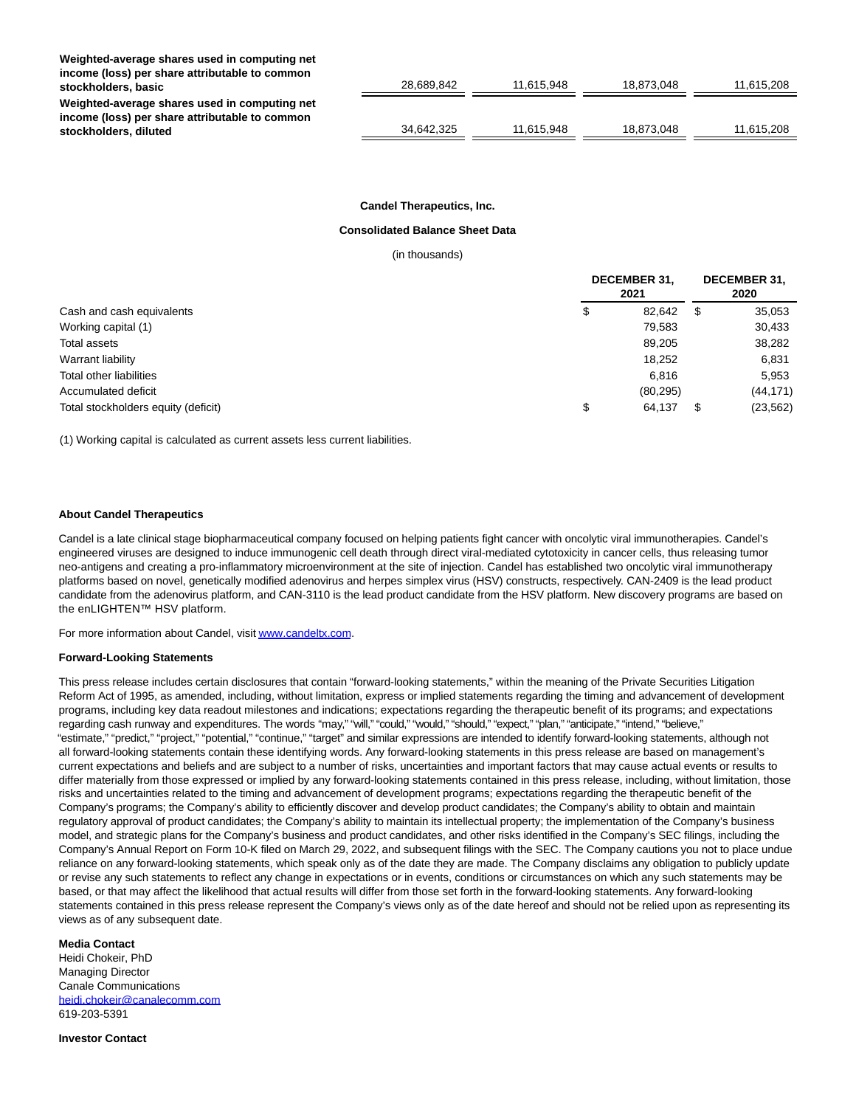**Weighted-average shares used in computing net income (loss) per share attributable to common stockholders, basic** 28,689,842 11,615,948 18,873,048 11,615,208

**Weighted-average shares used in computing net income (loss) per share attributable to common stockholders, diluted** 34,642,325 11,615,948 18,873,048 18,873,048 11,615,208

#### **Candel Therapeutics, Inc.**

## **Consolidated Balance Sheet Data**

(in thousands)

|                                     | <b>DECEMBER 31.</b><br>2021 |           | <b>DECEMBER 31.</b><br>2020 |           |
|-------------------------------------|-----------------------------|-----------|-----------------------------|-----------|
| Cash and cash equivalents           | \$                          | 82,642    |                             | 35,053    |
| Working capital (1)                 |                             | 79,583    |                             | 30,433    |
| Total assets                        |                             | 89.205    |                             | 38,282    |
| Warrant liability                   |                             | 18,252    |                             | 6,831     |
| Total other liabilities             |                             | 6.816     |                             | 5,953     |
| Accumulated deficit                 |                             | (80, 295) |                             | (44, 171) |
| Total stockholders equity (deficit) | \$                          | 64,137    |                             | (23, 562) |

(1) Working capital is calculated as current assets less current liabilities.

#### **About Candel Therapeutics**

Candel is a late clinical stage biopharmaceutical company focused on helping patients fight cancer with oncolytic viral immunotherapies. Candel's engineered viruses are designed to induce immunogenic cell death through direct viral-mediated cytotoxicity in cancer cells, thus releasing tumor neo-antigens and creating a pro-inflammatory microenvironment at the site of injection. Candel has established two oncolytic viral immunotherapy platforms based on novel, genetically modified adenovirus and herpes simplex virus (HSV) constructs, respectively. CAN-2409 is the lead product candidate from the adenovirus platform, and CAN-3110 is the lead product candidate from the HSV platform. New discovery programs are based on the enLIGHTEN™ HSV platform.

For more information about Candel, visi[t www.candeltx.com.](https://www.globenewswire.com/Tracker?data=V1Xud8xAKj4jykpGMm_obmGHYZajrrRiDKKEqINM28_4tp8pvO5y_Csp3GtzR1-l3FH51tiWRbZWnSQKMRkMOw==)

#### **Forward-Looking Statements**

This press release includes certain disclosures that contain "forward-looking statements," within the meaning of the Private Securities Litigation Reform Act of 1995, as amended, including, without limitation, express or implied statements regarding the timing and advancement of development programs, including key data readout milestones and indications; expectations regarding the therapeutic benefit of its programs; and expectations regarding cash runway and expenditures. The words "may," "will," "could," "would," "should," "expect," "plan," "anticipate," "intend," "believe," "estimate," "predict," "project," "potential," "continue," "target" and similar expressions are intended to identify forward-looking statements, although not all forward-looking statements contain these identifying words. Any forward-looking statements in this press release are based on management's current expectations and beliefs and are subject to a number of risks, uncertainties and important factors that may cause actual events or results to differ materially from those expressed or implied by any forward-looking statements contained in this press release, including, without limitation, those risks and uncertainties related to the timing and advancement of development programs; expectations regarding the therapeutic benefit of the Company's programs; the Company's ability to efficiently discover and develop product candidates; the Company's ability to obtain and maintain regulatory approval of product candidates; the Company's ability to maintain its intellectual property; the implementation of the Company's business model, and strategic plans for the Company's business and product candidates, and other risks identified in the Company's SEC filings, including the Company's Annual Report on Form 10-K filed on March 29, 2022, and subsequent filings with the SEC. The Company cautions you not to place undue reliance on any forward-looking statements, which speak only as of the date they are made. The Company disclaims any obligation to publicly update or revise any such statements to reflect any change in expectations or in events, conditions or circumstances on which any such statements may be based, or that may affect the likelihood that actual results will differ from those set forth in the forward-looking statements. Any forward-looking statements contained in this press release represent the Company's views only as of the date hereof and should not be relied upon as representing its views as of any subsequent date.

#### **Media Contact**

Heidi Chokeir, PhD Managing Director Canale Communications [heidi.chokeir@canalecomm.com](https://www.globenewswire.com/Tracker?data=HvDq1lGPttioY4MHdvwSSBMe6eV5BjNsUpZCxWrVLldTA9fa5A5zPr3rzXlrf_zuIf_6syHZwRDmlg8DB06zZ2ninMTju2ufU9BXnz1_z4JpMz61dUNBCXNjBeZKtBp4) 619-203-5391

**Investor Contact**